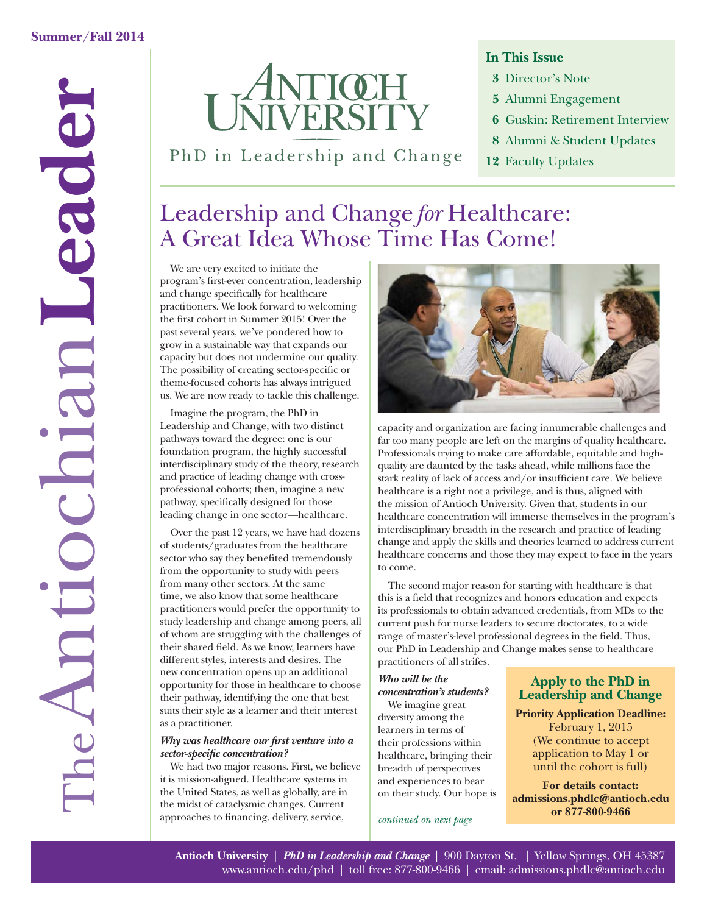

PhD in Leadership and Change

## **In This Issue**

- **3** Director's Note
- **5** Alumni Engagement
- **6** Guskin: Retirement Interview
- **8** Alumni & Student Updates
- **12** Faculty Updates

# Leadership and Change *for* Healthcare: A Great Idea Whose Time Has Come!

We are very excited to initiate the program's first-ever concentration, leadership and change specifically for healthcare practitioners. We look forward to welcoming the first cohort in Summer 2015! Over the past several years, we've pondered how to grow in a sustainable way that expands our capacity but does not undermine our quality. The possibility of creating sector-specific or theme-focused cohorts has always intrigued us. We are now ready to tackle this challenge.

Imagine the program, the PhD in Leadership and Change, with two distinct pathways toward the degree: one is our foundation program, the highly successful interdisciplinary study of the theory, research and practice of leading change with crossprofessional cohorts; then, imagine a new pathway, specifically designed for those leading change in one sector—healthcare.

Over the past 12 years, we have had dozens of students/graduates from the healthcare sector who say they benefited tremendously from the opportunity to study with peers from many other sectors. At the same time, we also know that some healthcare practitioners would prefer the opportunity to study leadership and change among peers, all of whom are struggling with the challenges of their shared field. As we know, learners have different styles, interests and desires. The new concentration opens up an additional opportunity for those in healthcare to choose their pathway, identifying the one that best suits their style as a learner and their interest as a practitioner.

### *Why was healthcare our first venture into a sector-specifi c concentration?*

We had two major reasons. First, we believe it is mission-aligned. Healthcare systems in the United States, as well as globally, are in the midst of cataclysmic changes. Current approaches to financing, delivery, service,



capacity and organization are facing innumerable challenges and far too many people are left on the margins of quality healthcare. Professionals trying to make care affordable, equitable and highquality are daunted by the tasks ahead, while millions face the stark reality of lack of access and/or insufficient care. We believe healthcare is a right not a privilege, and is thus, aligned with the mission of Antioch University. Given that, students in our healthcare concentration will immerse themselves in the program's interdisciplinary breadth in the research and practice of leading change and apply the skills and theories learned to address current healthcare concerns and those they may expect to face in the years to come.

The second major reason for starting with healthcare is that this is a field that recognizes and honors education and expects its professionals to obtain advanced credentials, from MDs to the current push for nurse leaders to secure doctorates, to a wide range of master's-level professional degrees in the field. Thus, our PhD in Leadership and Change makes sense to healthcare practitioners of all strifes.

#### *Who will be the concentration's students?*

We imagine great diversity among the learners in terms of their professions within healthcare, bringing their breadth of perspectives and experiences to bear on their study. Our hope is

#### *continued on next page*

### **Apply to the PhD in Leadership and Change**

**Priority Application Deadline:** February 1, 2015 (We continue to accept application to May 1 or until the cohort is full)

**For details contact: admissions.phdlc@antioch.edu or 877-800-9466**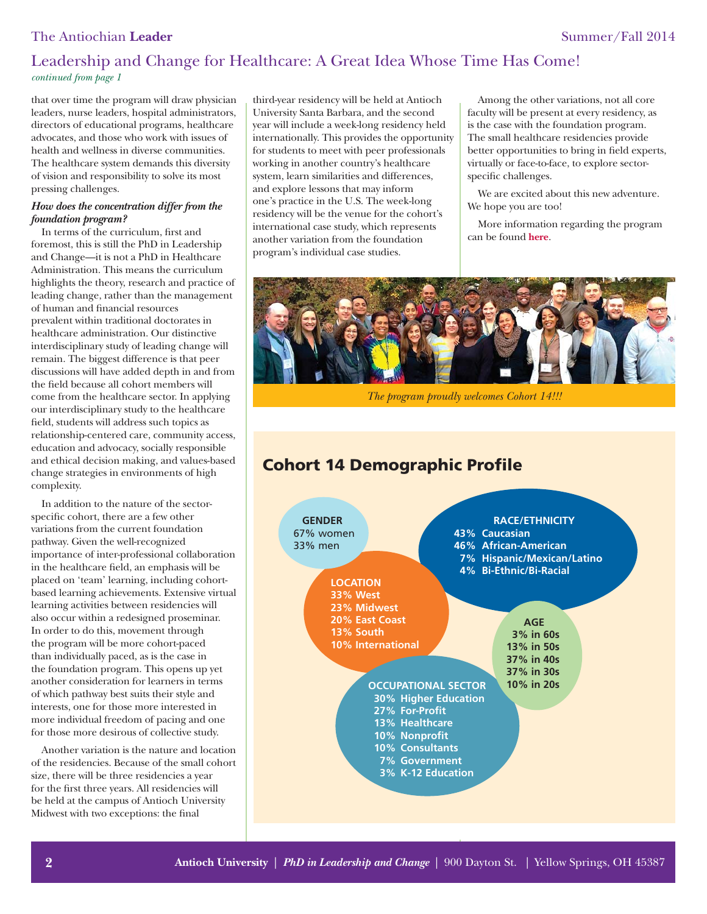### The Antiochian **Leader** Summer/Fall 2014

# Leadership and Change for Healthcare: A Great Idea Whose Time Has Come! *continued from page 1*

that over time the program will draw physician leaders, nurse leaders, hospital administrators, directors of educational programs, healthcare advocates, and those who work with issues of health and wellness in diverse communities. The healthcare system demands this diversity of vision and responsibility to solve its most pressing challenges.

#### *How does the concentration differ from the foundation program?*

In terms of the curriculum, first and foremost, this is still the PhD in Leadership and Change—it is not a PhD in Healthcare Administration. This means the curriculum highlights the theory, research and practice of leading change, rather than the management of human and financial resources prevalent within traditional doctorates in healthcare administration. Our distinctive interdisciplinary study of leading change will remain. The biggest difference is that peer discussions will have added depth in and from the field because all cohort members will come from the healthcare sector. In applying our interdisciplinary study to the healthcare field, students will address such topics as relationship-centered care, community access, education and advocacy, socially responsible and ethical decision making, and values-based change strategies in environments of high complexity.

In addition to the nature of the sectorspecific cohort, there are a few other variations from the current foundation pathway. Given the well-recognized importance of inter-professional collaboration in the healthcare field, an emphasis will be placed on 'team' learning, including cohortbased learning achievements. Extensive virtual learning activities between residencies will also occur within a redesigned proseminar. In order to do this, movement through the program will be more cohort-paced than individually paced, as is the case in the foundation program. This opens up yet another consideration for learners in terms of which pathway best suits their style and interests, one for those more interested in more individual freedom of pacing and one for those more desirous of collective study.

Another variation is the nature and location of the residencies. Because of the small cohort size, there will be three residencies a year for the first three years. All residencies will be held at the campus of Antioch University Midwest with two exceptions: the final

third-year residency will be held at Antioch University Santa Barbara, and the second year will include a week-long residency held internationally. This provides the opportunity for students to meet with peer professionals working in another country's healthcare system, learn similarities and differences, and explore lessons that may inform one's practice in the U.S. The week-long residency will be the venue for the cohort's international case study, which represents another variation from the foundation program's individual case studies.

Among the other variations, not all core faculty will be present at every residency, as is the case with the foundation program. The small healthcare residencies provide better opportunities to bring in field experts, virtually or face-to-face, to explore sectorspecific challenges.

We are excited about this new adventure. We hope you are too!

More information regarding the program can be found **[here](http://www.antioch.edu/phd/healthcare/)**.



*The program proudly welcomes Cohort 14!!!*

# **Cohort 14 Demographic Profile**

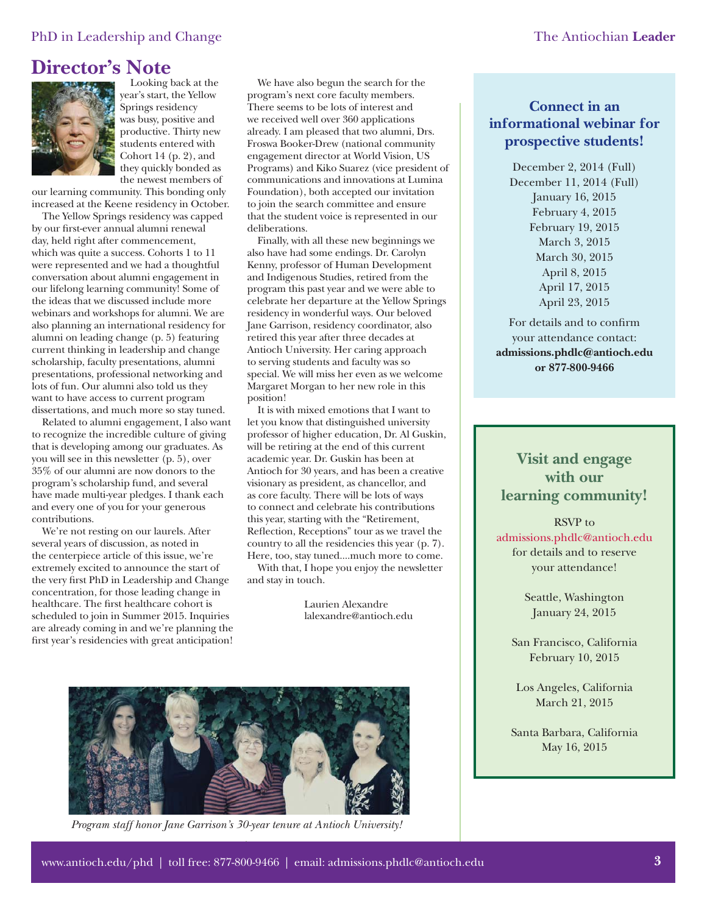### PhD in Leadership and Change The Antiochian Leader

# **Director's Note**



Looking back at the year's start, the Yellow Springs residency was busy, positive and productive. Thirty new students entered with Cohort 14 (p. 2), and they quickly bonded as the newest members of

our learning community. This bonding only increased at the Keene residency in October.

The Yellow Springs residency was capped by our first-ever annual alumni renewal day, held right after commencement, which was quite a success. Cohorts 1 to 11 were represented and we had a thoughtful conversation about alumni engagement in our lifelong learning community! Some of the ideas that we discussed include more webinars and workshops for alumni. We are also planning an international residency for alumni on leading change (p. 5) featuring current thinking in leadership and change scholarship, faculty presentations, alumni presentations, professional networking and lots of fun. Our alumni also told us they want to have access to current program dissertations, and much more so stay tuned.

Related to alumni engagement, I also want to recognize the incredible culture of giving that is developing among our graduates. As you will see in this newsletter (p. 5), over 35% of our alumni are now donors to the program's scholarship fund, and several have made multi-year pledges. I thank each and every one of you for your generous contributions.

We're not resting on our laurels. After several years of discussion, as noted in the centerpiece article of this issue, we're extremely excited to announce the start of the very first PhD in Leadership and Change concentration, for those leading change in healthcare. The first healthcare cohort is scheduled to join in Summer 2015. Inquiries are already coming in and we're planning the first year's residencies with great anticipation!

We have also begun the search for the program's next core faculty members. There seems to be lots of interest and we received well over 360 applications already. I am pleased that two alumni, Drs. Froswa Booker-Drew (national community engagement director at World Vision, US Programs) and Kiko Suarez (vice president of communications and innovations at Lumina Foundation), both accepted our invitation to join the search committee and ensure that the student voice is represented in our deliberations.

Finally, with all these new beginnings we also have had some endings. Dr. Carolyn Kenny, professor of Human Development and Indigenous Studies, retired from the program this past year and we were able to celebrate her departure at the Yellow Springs residency in wonderful ways. Our beloved Jane Garrison, residency coordinator, also retired this year after three decades at Antioch University. Her caring approach to serving students and faculty was so special. We will miss her even as we welcome Margaret Morgan to her new role in this position!

It is with mixed emotions that I want to let you know that distinguished university professor of higher education, Dr. Al Guskin, will be retiring at the end of this current academic year. Dr. Guskin has been at Antioch for 30 years, and has been a creative visionary as president, as chancellor, and as core faculty. There will be lots of ways to connect and celebrate his contributions this year, starting with the "Retirement, Reflection, Receptions" tour as we travel the country to all the residencies this year (p. 7). Here, too, stay tuned....much more to come.

With that, I hope you enjoy the newsletter and stay in touch.

> Laurien Alexandre lalexandre@antioch.edu



*Program staff honor Jane Garrison's 30-year tenure at Antioch University!*

# **Connect in an informational webinar for prospective students!**

December 2, 2014 (Full) December 11, 2014 (Full) January 16, 2015 February 4, 2015 February 19, 2015 March 3, 2015 March 30, 2015 April 8, 2015 April 17, 2015 April 23, 2015

For details and to confirm your attendance contact: **admissions.phdlc@antioch.edu or 877-800-9466**

# **Visit and engage with our learning community!**

RSVP to admissions.phdlc@antioch.edu for details and to reserve your attendance!

> Seattle, Washington January 24, 2015

San Francisco, California February 10, 2015

Los Angeles, California March 21, 2015

Santa Barbara, California May 16, 2015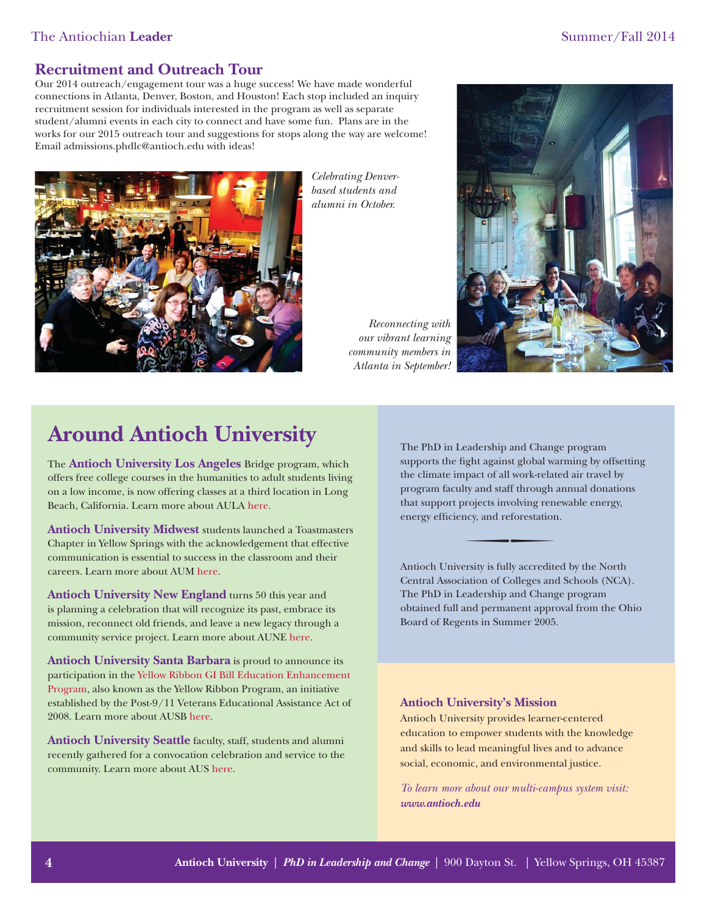### The Antiochian **Leader** Summer/Fall 2014

### **Recruitment and Outreach Tour**

Our 2014 outreach/engagement tour was a huge success! We have made wonderful connections in Atlanta, Denver, Boston, and Houston! Each stop included an inquiry recruitment session for individuals interested in the program as well as separate student/alumni events in each city to connect and have some fun. Plans are in the works for our 2015 outreach tour and suggestions for stops along the way are welcome! Email admissions.phdlc@antioch.edu with ideas!



*Celebrating Denverbased students and alumni in October.*

> *Reconnecting with our vibrant learning community members in Atlanta in September!*



# **Around Antioch University**

The **Antioch University Los Angeles** Bridge program, which offers free college courses in the humanities to adult students living on a low income, is now offering classes at a third location in Long Beach, California. Learn more about AUL[A here.](http://www.antiochla.edu/)

**Antioch University Midwest** students launched a Toastmasters Chapter in Yellow Springs with the acknowledgement that effective communication is essential to success in the classroom and their careers. Learn more about AU[M here.](http://midwest.antioch.edu/)

**Antioch University New England** turns 50 this year and is planning a celebration that will recognize its past, embrace its mission, reconnect old friends, and leave a new legacy through a community service project. Learn more about AUN[E here.](http://www.antiochne.edu/)

**Antioch University Santa Barbara** is proud to announce its participation in the [Yellow Ribbon GI Bill Education Enhancement](http://www.antiochsb.edu/financial-aid/types-of-aid/yellowribbon/)  Program, also known as the Yellow Ribbon Program, an initiative established by the Post-9/11 Veterans Educational Assistance Act of 2008. Learn more about AUS[B here.](http://www.antiochsb.edu/)

Antioch University Seattle faculty, staff, students and alumni recently gathered for a convocation celebration and service to the community. Learn more about AU[S here.](http://www.antiochseattle.edu/)

The PhD in Leadership and Change program supports the fight against global warming by offsetting the climate impact of all work-related air travel by program faculty and staff through annual donations that support projects involving renewable energy, energy efficiency, and reforestation.

Antioch University is fully accredited by the North Central Association of Colleges and Schools (NCA). The PhD in Leadership and Change program obtained full and permanent approval from the Ohio Board of Regents in Summer 2005.

#### **Antioch University's Mission**

Antioch University provides learner-centered education to empower students with the knowledge and skills to lead meaningful lives and to advance social, economic, and environmental justice.

*To learn more about our multi-campus system visit: www.antioch.edu*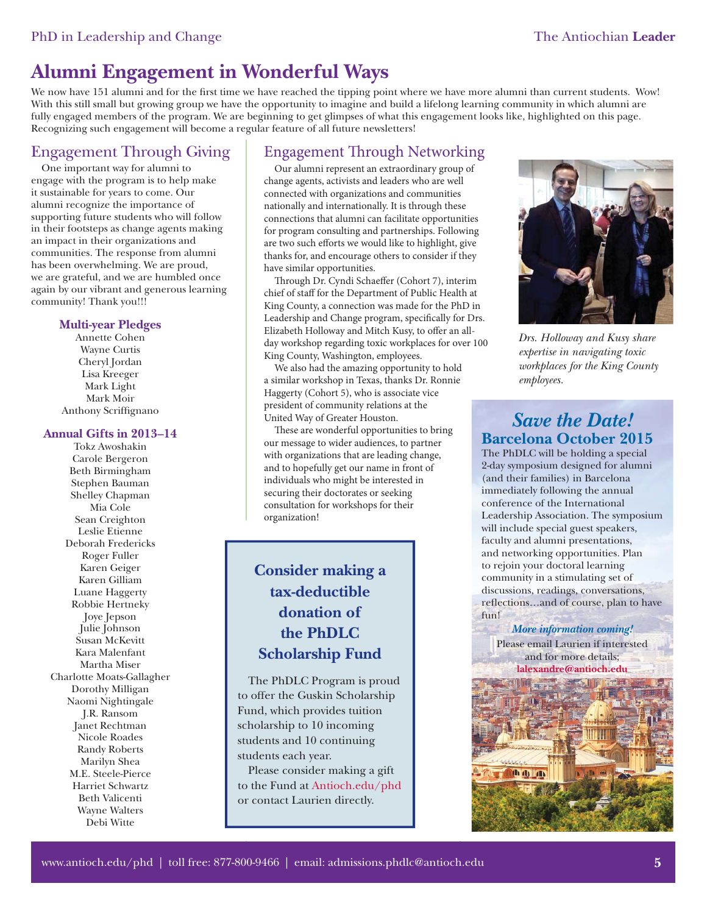# **Alumni Engagement in Wonderful Ways**

We now have 151 alumni and for the first time we have reached the tipping point where we have more alumni than current students. Wow! With this still small but growing group we have the opportunity to imagine and build a lifelong learning community in which alumni are fully engaged members of the program. We are beginning to get glimpses of what this engagement looks like, highlighted on this page. Recognizing such engagement will become a regular feature of all future newsletters!

# Engagement Through Giving

One important way for alumni to engage with the program is to help make it sustainable for years to come. Our alumni recognize the importance of supporting future students who will follow in their footsteps as change agents making an impact in their organizations and communities. The response from alumni has been overwhelming. We are proud, we are grateful, and we are humbled once again by our vibrant and generous learning community! Thank you!!!

#### **Multi-year Pledges**

Annette Cohen Wayne Curtis Cheryl Jordan Lisa Kreeger Mark Light Mark Moir Anthony Scriffignano

#### **Annual Gifts in 2013–14**

Tokz Awoshakin Carole Bergeron Beth Birmingham Stephen Bauman Shelley Chapman Mia Cole Sean Creighton Leslie Etienne Deborah Fredericks Roger Fuller Karen Geiger Karen Gilliam Luane Haggerty Robbie Hertneky Joye Jepson Julie Johnson Susan McKevitt Kara Malenfant Martha Miser Charlotte Moats-Gallagher Dorothy Milligan Naomi Nightingale J.R. Ransom Janet Rechtman Nicole Roades Randy Roberts Marilyn Shea M.E. Steele-Pierce Harriet Schwartz Beth Valicenti Wayne Walters Debi Witte

# Engagement Through Networking

Our alumni represent an extraordinary group of change agents, activists and leaders who are well connected with organizations and communities nationally and internationally. It is through these connections that alumni can facilitate opportunities for program consulting and partnerships. Following are two such efforts we would like to highlight, give thanks for, and encourage others to consider if they have similar opportunities.

Through Dr. Cyndi Schaeffer (Cohort 7), interim chief of staff for the Department of Public Health at King County, a connection was made for the PhD in Leadership and Change program, specifically for Drs. Elizabeth Holloway and Mitch Kusy, to offer an allday workshop regarding toxic workplaces for over 100 King County, Washington, employees.

We also had the amazing opportunity to hold a similar workshop in Texas, thanks Dr. Ronnie Haggerty (Cohort 5), who is associate vice president of community relations at the United Way of Greater Houston.

These are wonderful opportunities to bring our message to wider audiences, to partner with organizations that are leading change, and to hopefully get our name in front of individuals who might be interested in securing their doctorates or seeking consultation for workshops for their organization!

# **Consider making a tax-deductible donation of the PhDLC Scholarship Fund**

The PhDLC Program is proud to offer the Guskin Scholarship Fund, which provides tuition scholarship to 10 incoming students and 10 continuing students each year.

Please consider making a gift to the Fund [at Antioch.edu/phd](www.antioch.edu/phd) or contact Laurien directly.



*Drs. Holloway and Kusy share expertise in navigating toxic workplaces for the King County employees.*

# *Save the Date!* **Barcelona October 2015**

The PhDLC will be holding a special 2-day symposium designed for alumni (and their families) in Barcelona immediately following the annual conference of the International Leadership Association. The symposium will include special guest speakers, faculty and alumni presentations, and networking opportunities. Plan to rejoin your doctoral learning community in a stimulating set of discussions, readings, conversations, reflections...and of course, plan to have fun!

*More information coming!*

Please email Laurien if interested and for more details; **lalexandre@antioch.edu**

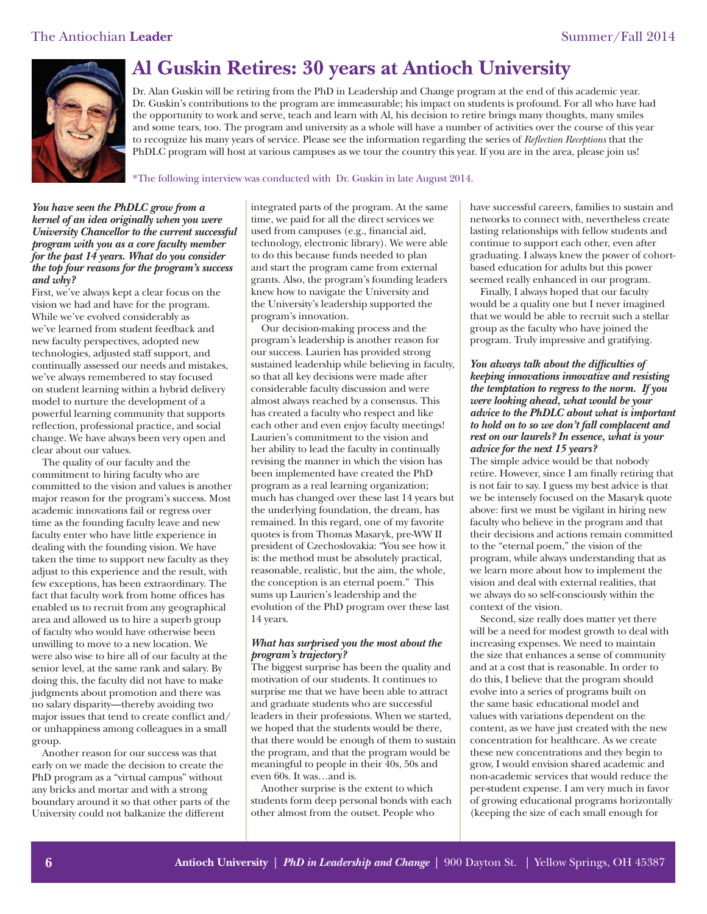

# **Al Guskin Retires: 30 years at Antioch University**

Dr. Alan Guskin will be retiring from the PhD in Leadership and Change program at the end of this academic year. Dr. Guskin's contributions to the program are immeasurable; his impact on students is profound. For all who have had the opportunity to work and serve, teach and learn with Al, his decision to retire brings many thoughts, many smiles and some tears, too. The program and university as a whole will have a number of activities over the course of this year to recognize his many years of service. Please see the information regarding the series of *Reflection Receptions* that the PhDLC program will host at various campuses as we tour the country this year. If you are in the area, please join us!

\*The following interview was conducted with Dr. Guskin in late August 2014.

#### *You have seen the PhDLC grow from a kernel of an idea originally when you were University Chancellor to the current successful program with you as a core faculty member for the past 14 years. What do you consider the top four reasons for the program's success and why?*

First, we've always kept a clear focus on the vision we had and have for the program. While we've evolved considerably as we've learned from student feedback and new faculty perspectives, adopted new technologies, adjusted staff support, and continually assessed our needs and mistakes, we've always remembered to stay focused on student learning within a hybrid delivery model to nurture the development of a powerful learning community that supports reflection, professional practice, and social change. We have always been very open and clear about our values.

The quality of our faculty and the commitment to hiring faculty who are committed to the vision and values is another major reason for the program's success. Most academic innovations fail or regress over time as the founding faculty leave and new faculty enter who have little experience in dealing with the founding vision. We have taken the time to support new faculty as they adjust to this experience and the result, with few exceptions, has been extraordinary. The fact that faculty work from home offices has enabled us to recruit from any geographical area and allowed us to hire a superb group of faculty who would have otherwise been unwilling to move to a new location. We were also wise to hire all of our faculty at the senior level, at the same rank and salary. By doing this, the faculty did not have to make judgments about promotion and there was no salary disparity—thereby avoiding two major issues that tend to create conflict and/ or unhappiness among colleagues in a small group.

Another reason for our success was that early on we made the decision to create the PhD program as a "virtual campus" without any bricks and mortar and with a strong boundary around it so that other parts of the University could not balkanize the different

integrated parts of the program. At the same time, we paid for all the direct services we used from campuses (e.g., financial aid, technology, electronic library). We were able to do this because funds needed to plan and start the program came from external grants. Also, the program's founding leaders knew how to navigate the University and the University's leadership supported the program's innovation.

Our decision-making process and the program's leadership is another reason for our success. Laurien has provided strong sustained leadership while believing in faculty, so that all key decisions were made after considerable faculty discussion and were almost always reached by a consensus. This has created a faculty who respect and like each other and even enjoy faculty meetings! Laurien's commitment to the vision and her ability to lead the faculty in continually revising the manner in which the vision has been implemented have created the PhD program as a real learning organization; much has changed over these last 14 years but the underlying foundation, the dream, has remained. In this regard, one of my favorite quotes is from Thomas Masaryk, pre-WW II president of Czechoslovakia: "You see how it is: the method must be absolutely practical, reasonable, realistic, but the aim, the whole, the conception is an eternal poem." This sums up Laurien's leadership and the evolution of the PhD program over these last 14 years.

#### *What has surprised you the most about the program's trajectory?*

The biggest surprise has been the quality and motivation of our students. It continues to surprise me that we have been able to attract and graduate students who are successful leaders in their professions. When we started, we hoped that the students would be there, that there would be enough of them to sustain the program, and that the program would be meaningful to people in their 40s, 50s and even 60s. It was…and is.

Another surprise is the extent to which students form deep personal bonds with each other almost from the outset. People who

have successful careers, families to sustain and networks to connect with, nevertheless create lasting relationships with fellow students and continue to support each other, even after graduating. I always knew the power of cohortbased education for adults but this power seemed really enhanced in our program.

Finally, I always hoped that our faculty would be a quality one but I never imagined that we would be able to recruit such a stellar group as the faculty who have joined the program. Truly impressive and gratifying.

#### You always talk about the difficulties of *keeping innovations innovative and resisting the temptation to regress to the norm. If you were looking ahead, what would be your advice to the PhDLC about what is important to hold on to so we don't fall complacent and rest on our laurels? In essence, what is your advice for the next 15 years?*

The simple advice would be that nobody retire. However, since I am finally retiring that is not fair to say. I guess my best advice is that we be intensely focused on the Masaryk quote above: first we must be vigilant in hiring new faculty who believe in the program and that their decisions and actions remain committed to the "eternal poem," the vision of the program, while always understanding that as we learn more about how to implement the vision and deal with external realities, that we always do so self-consciously within the context of the vision.

Second, size really does matter yet there will be a need for modest growth to deal with increasing expenses. We need to maintain the size that enhances a sense of community and at a cost that is reasonable. In order to do this, I believe that the program should evolve into a series of programs built on the same basic educational model and values with variations dependent on the content, as we have just created with the new concentration for healthcare. As we create these new concentrations and they begin to grow, I would envision shared academic and non-academic services that would reduce the per-student expense. I am very much in favor of growing educational programs horizontally (keeping the size of each small enough for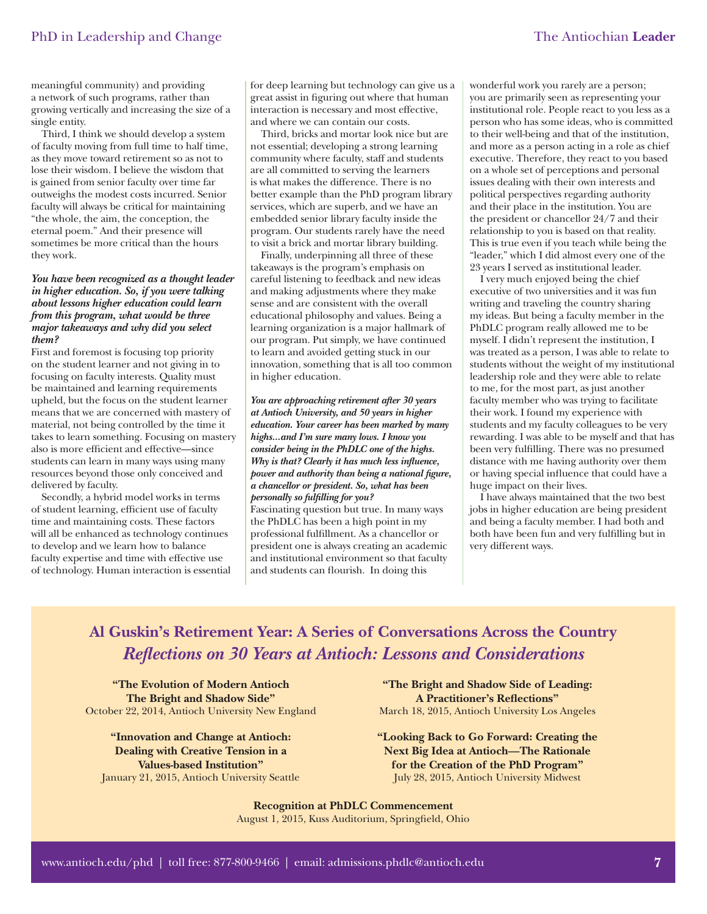meaningful community) and providing a network of such programs, rather than growing vertically and increasing the size of a single entity.

Third, I think we should develop a system of faculty moving from full time to half time, as they move toward retirement so as not to lose their wisdom. I believe the wisdom that is gained from senior faculty over time far outweighs the modest costs incurred. Senior faculty will always be critical for maintaining "the whole, the aim, the conception, the eternal poem." And their presence will sometimes be more critical than the hours they work.

#### *You have been recognized as a thought leader in higher education. So, if you were talking about lessons higher education could learn from this program, what would be three major takeaways and why did you select them?*

First and foremost is focusing top priority on the student learner and not giving in to focusing on faculty interests. Quality must be maintained and learning requirements upheld, but the focus on the student learner means that we are concerned with mastery of material, not being controlled by the time it takes to learn something. Focusing on mastery also is more efficient and effective—since students can learn in many ways using many resources beyond those only conceived and delivered by faculty.

Secondly, a hybrid model works in terms of student learning, efficient use of faculty time and maintaining costs. These factors will all be enhanced as technology continues to develop and we learn how to balance faculty expertise and time with effective use of technology. Human interaction is essential for deep learning but technology can give us a great assist in figuring out where that human interaction is necessary and most effective, and where we can contain our costs.

Third, bricks and mortar look nice but are not essential; developing a strong learning community where faculty, staff and students are all committed to serving the learners is what makes the difference. There is no better example than the PhD program library services, which are superb, and we have an embedded senior library faculty inside the program. Our students rarely have the need to visit a brick and mortar library building.

Finally, underpinning all three of these takeaways is the program's emphasis on careful listening to feedback and new ideas and making adjustments where they make sense and are consistent with the overall educational philosophy and values. Being a learning organization is a major hallmark of our program. Put simply, we have continued to learn and avoided getting stuck in our innovation, something that is all too common in higher education.

*You are approaching retirement after 30 years at Antioch University, and 50 years in higher education. Your career has been marked by many highs...and I'm sure many lows. I know you consider being in the PhDLC one of the highs. Why is that? Clearly it has much less influence, power and authority than being a national figure, a chancellor or president. So, what has been personally so fulfilling for you?* Fascinating question but true. In many ways

the PhDLC has been a high point in my professional fulfillment. As a chancellor or president one is always creating an academic and institutional environment so that faculty and students can flourish. In doing this

wonderful work you rarely are a person; you are primarily seen as representing your institutional role. People react to you less as a person who has some ideas, who is committed to their well-being and that of the institution, and more as a person acting in a role as chief executive. Therefore, they react to you based on a whole set of perceptions and personal issues dealing with their own interests and political perspectives regarding authority and their place in the institution. You are the president or chancellor 24/7 and their relationship to you is based on that reality. This is true even if you teach while being the "leader," which I did almost every one of the 23 years I served as institutional leader.

I very much enjoyed being the chief executive of two universities and it was fun writing and traveling the country sharing my ideas. But being a faculty member in the PhDLC program really allowed me to be myself. I didn't represent the institution, I was treated as a person, I was able to relate to students without the weight of my institutional leadership role and they were able to relate to me, for the most part, as just another faculty member who was trying to facilitate their work. I found my experience with students and my faculty colleagues to be very rewarding. I was able to be myself and that has been very fulfilling. There was no presumed distance with me having authority over them or having special influence that could have a huge impact on their lives.

I have always maintained that the two best jobs in higher education are being president and being a faculty member. I had both and both have been fun and very fulfilling but in very different ways.

# **Al Guskin's Retirement Year: A Series of Conversations Across the Country** *Refl ections on 30 Years at Antioch: Lessons and Considerations*

**"The Evolution of Modern Antioch The Bright and Shadow Side"** October 22, 2014, Antioch University New England

**"Innovation and Change at Antioch: Dealing with Creative Tension in a Values-based Institution"** January 21, 2015, Antioch University Seattle

**"The Bright and Shadow Side of Leading: A Practitioner's Reflections"** March 18, 2015, Antioch University Los Angeles

**"Looking Back to Go Forward: Creating the Next Big Idea at Antioch—The Rationale for the Creation of the PhD Program"** July 28, 2015, Antioch University Midwest

**Recognition at PhDLC Commencement**  August 1, 2015, Kuss Auditorium, Springfield, Ohio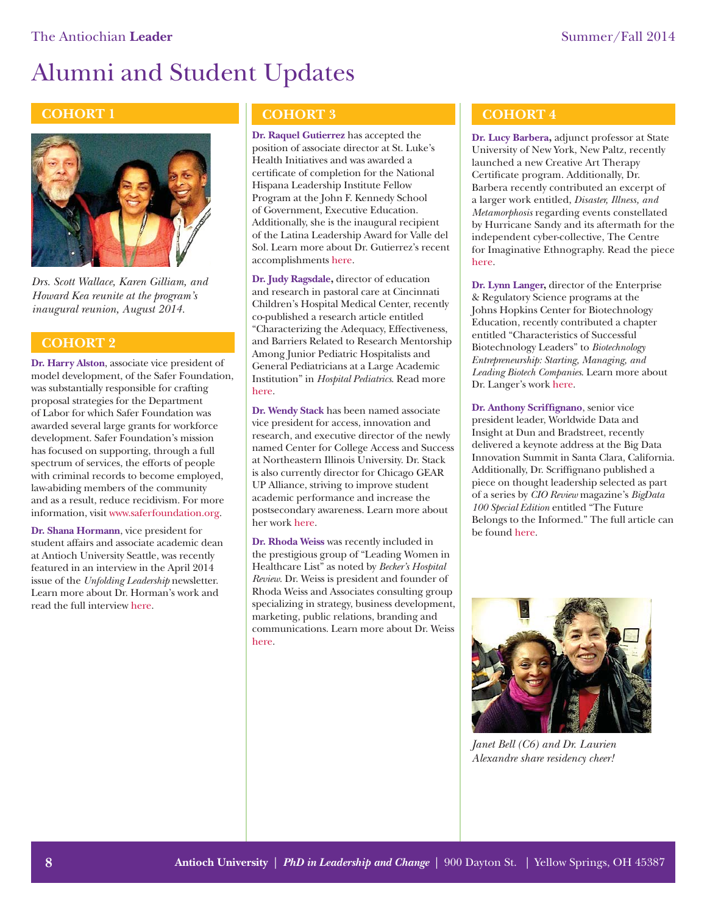

*Drs. Scott Wallace, Karen Gilliam, and Howard Kea reunite at the program's inaugural reunion, August 2014.*

## **COHORT 2**

**Dr. Harry Alston**, associate vice president of model development, of the Safer Foundation, was substantially responsible for crafting proposal strategies for the Department of Labor for which Safer Foundation was awarded several large grants for workforce development. Safer Foundation's mission has focused on supporting, through a full spectrum of services, the efforts of people with criminal records to become employed, law-abiding members of the community and as a result, reduce recidivism. For more information, vi[sit www.saferfoundation.org.](www.saferfoundation.org)

**Dr. Shana Hormann**, vice president for student affairs and associate academic dean at Antioch University Seattle, was recently featured in an interview in the April 2014 issue of the *Unfolding Leadership* newsletter. Learn more about Dr. Horman's work and read the full intervie[w here.](http://archive.constantcontact.com/fs116/1106536376264/archive/1117158561334.html)

# **COHORT 1 COHORT 3**

**Dr. Raquel Gutierrez** has accepted the position of associate director at St. Luke's Health Initiatives and was awarded a certificate of completion for the National Hispana Leadership Institute Fellow Program at the John F. Kennedy School of Government, Executive Education. Additionally, she is the inaugural recipient of the Latina Leadership Award for Valle del Sol. Learn more about Dr. Gutierrez's recent accomplishmen[ts here.](http://valledelsolaz.wordpress.com/2014/08/06/raquel-dolores-gutierrez-to-be-honored-at-profiles-of-success/) 

**Dr. Judy Ragsdale,** director of education and research in pastoral care at Cincinnati Children's Hospital Medical Center, recently co-published a research article entitled "Characterizing the Adequacy, Effectiveness, and Barriers Related to Research Mentorship Among Junior Pediatric Hospitalists and General Pediatricians at a Large Academic Institution" in *Hospital Pediatrics*. Read more [here.](http://hosppeds.aappublications.org/content/4/2/93.abstract) 

**Dr. Wendy Stack** has been named associate vice president for access, innovation and research, and executive director of the newly named Center for College Access and Success at Northeastern Illinois University. Dr. Stack is also currently director for Chicago GEAR UP Alliance, striving to improve student academic performance and increase the postsecondary awareness. Learn more about her wor[k here.](http://homepages.neiu.edu/~ctc/gearup.html) 

**Dr. Rhoda Weiss** was recently included in the prestigious group of "Leading Women in Healthcare List" as noted by *Becker's Hospital Review*. Dr. Weiss is president and founder of Rhoda Weiss and Associates consulting group specializing in strategy, business development, marketing, public relations, branding and communications. Learn more about Dr. Weiss [here.](http://www.rhodaweissinc.com/About-Us.html)

## **COHORT 4**

**Dr. Lucy Barbera,** adjunct professor at State University of New York, New Paltz, recently launched a new Creative Art Therapy Certificate program. Additionally, Dr. Barbera recently contributed an excerpt of a larger work entitled, *Disaster, Illness, and Metamorphosis* regarding events constellated by Hurricane Sandy and its aftermath for the independent cyber-collective, The Centre for Imaginative Ethnography. Read the piece [here.](http://imaginativeethnography.org/interventions/affect/disaster-illness-and-metamorphosis/) 

**Dr. Lynn Langer,** director of the Enterprise & Regulatory Science programs at the Johns Hopkins Center for Biotechnology Education, recently contributed a chapter entitled "Characteristics of Successful Biotechnology Leaders" to *Biotechnology Entrepreneurship: Starting, Managing, and Leading Biotech Companies*. Learn more about Dr. Langer's wor[k here.](http://advanced.jhu.edu/blog/dr-lynn-johnson-langers-chapter-in-biotechnology-entrepreneurship-published/)

**Dr. Anthony Scriffignano**, senior vice president leader, Worldwide Data and Insight at Dun and Bradstreet, recently delivered a keynote address at the Big Data Innovation Summit in Santa Clara, California. Additionally, Dr. Scriffignano published a piece on thought leadership selected as part of a series by *CIO Review* magazine's *BigData 100 Special Edition* entitled "The Future Belongs to the Informed." The full article can be foun[d here.](http://www.cioreview.com/BigData-2014a/)



*Janet Bell (C6) and Dr. Laurien Alexandre share residency cheer!*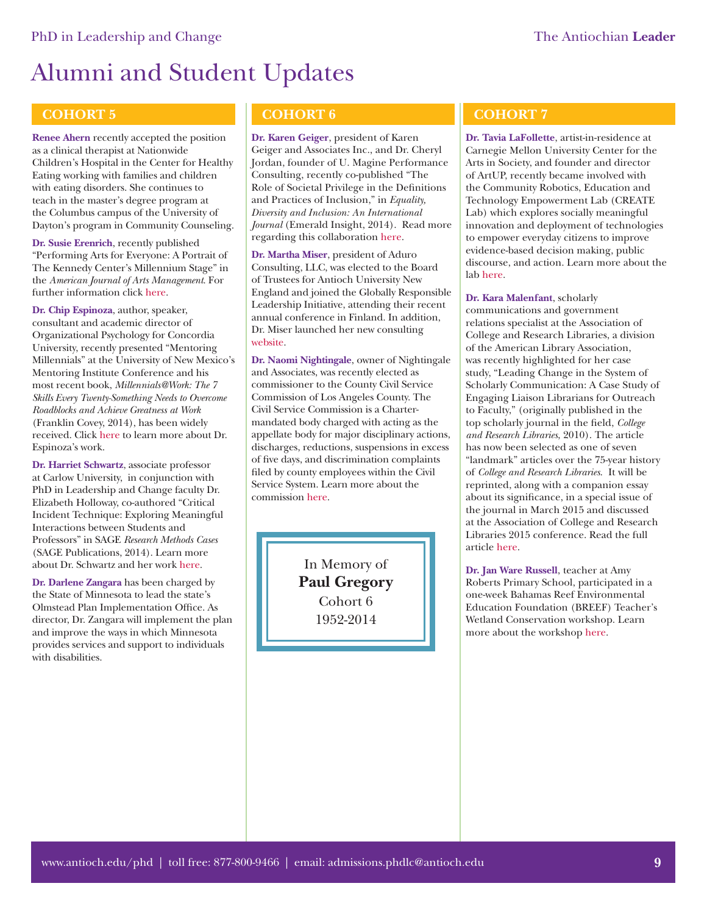## **COHORT 5**

**Renee Ahern** recently accepted the position as a clinical therapist at Nationwide Children's Hospital in the Center for Healthy Eating working with families and children with eating disorders. She continues to teach in the master's degree program at the Columbus campus of the University of Dayton's program in Community Counseling.

**Dr. Susie Erenrich**, recently published "Performing Arts for Everyone: A Portrait of The Kennedy Center's Millennium Stage" in the *American Journal of Arts Management*. For further information clic[k here.](www.artsmanagementjournal.com) 

**Dr. Chip Espinoza**, author, speaker, consultant and academic director of Organizational Psychology for Concordia University, recently presented "Mentoring Millennials" at the University of New Mexico's Mentoring Institute Conference and his most recent book, *Millennials@Work: The 7 Skills Every Twenty-Something Needs to Overcome Roadblocks and Achieve Greatness at Work* (Franklin Covey, 2014), has been widely received. Clic[k here to](http://www.chipespinoza.com/) learn more about Dr. Espinoza's work.

**Dr. Harriet Schwartz**, associate professor at Carlow University, in conjunction with PhD in Leadership and Change faculty Dr. Elizabeth Holloway, co-authored "Critical Incident Technique: Exploring Meaningful Interactions between Students and Professors" in SAGE *Research Methods Cases* (SAGE Publications, 2014). Learn more about Dr. Schwartz and her wor[k here.](https://carlow.academia.edu/HarrietSchwartz) 

**Dr. Darlene Zangara** has been charged by the State of Minnesota to lead the state's Olmstead Plan Implementation Office. As director, Dr. Zangara will implement the plan and improve the ways in which Minnesota provides services and support to individuals with disabilities.

# **COHORT 6**

**Dr. Karen Geiger**, president of Karen Geiger and Associates Inc., and Dr. Cheryl Jordan, founder of U. Magine Performance Consulting, recently co-published "The Role of Societal Privilege in the Definitions and Practices of Inclusion," in *Equality, Diversity and Inclusion: An International Journal* (Emerald Insight, 2014). Read more regarding this collaboratio[n here.](http://www.emeraldinsight.com/doi/abs/10.1108/EDI-12-2013-0115)

**Dr. Martha Miser**, president of Aduro Consulting, LLC, was elected to the Board of Trustees for Antioch University New England and joined the Globally Responsible Leadership Initiative, attending their recent annual conference in Finland. In addition, Dr. Miser launched her new consulting [website.](www.aduroconsulting.net)

**Dr. Naomi Nightingale**, owner of Nightingale and Associates, was recently elected as commissioner to the County Civil Service Commission of Los Angeles County. The Civil Service Commission is a Chartermandated body charged with acting as the appellate body for major disciplinary actions, discharges, reductions, suspensions in excess of five days, and discrimination complaints filed by county employees within the Civil Service System. Learn more about the commissio[n here.](http://civilservice.lacounty.gov/AboutUs/Commissioners.aspx)

> In Memory of **Paul Gregory** Cohort 6 1952-2014

# **COHORT 7**

**Dr. Tavia LaFollette**, artist-in-residence at Carnegie Mellon University Center for the Arts in Society, and founder and director of ArtUP, recently became involved with the Community Robotics, Education and Technology Empowerment Lab (CREATE Lab) which explores socially meaningful innovation and deployment of technologies to empower everyday citizens to improve evidence-based decision making, public discourse, and action. Learn more about the la[b here.](http://www.cmucreatelab.org)

**Dr. Kara Malenfant**, scholarly communications and government relations specialist at the Association of College and Research Libraries, a division of the American Library Association, was recently highlighted for her case study, "Leading Change in the System of Scholarly Communication: A Case Study of Engaging Liaison Librarians for Outreach to Faculty," (originally published in the top scholarly journal in the field, *College and Research Libraries*, 2010). The article has now been selected as one of seven "landmark" articles over the 75-year history of *College and Research Libraries*. It will be reprinted, along with a companion essay about its significance, in a special issue of the journal in March 2015 and discussed at the Association of College and Research Libraries 2015 conference. Read the full articl[e here.](http://crl.acrl.org/content/71/1/63.full.pdf+html)

**Dr. Jan Ware Russell**, teacher at Amy Roberts Primary School, participated in a one-week Bahamas Reef Environmental Education Foundation (BREEF) Teacher's Wetland Conservation workshop. Learn more about the worksh[op here.](https://breef.org/web/)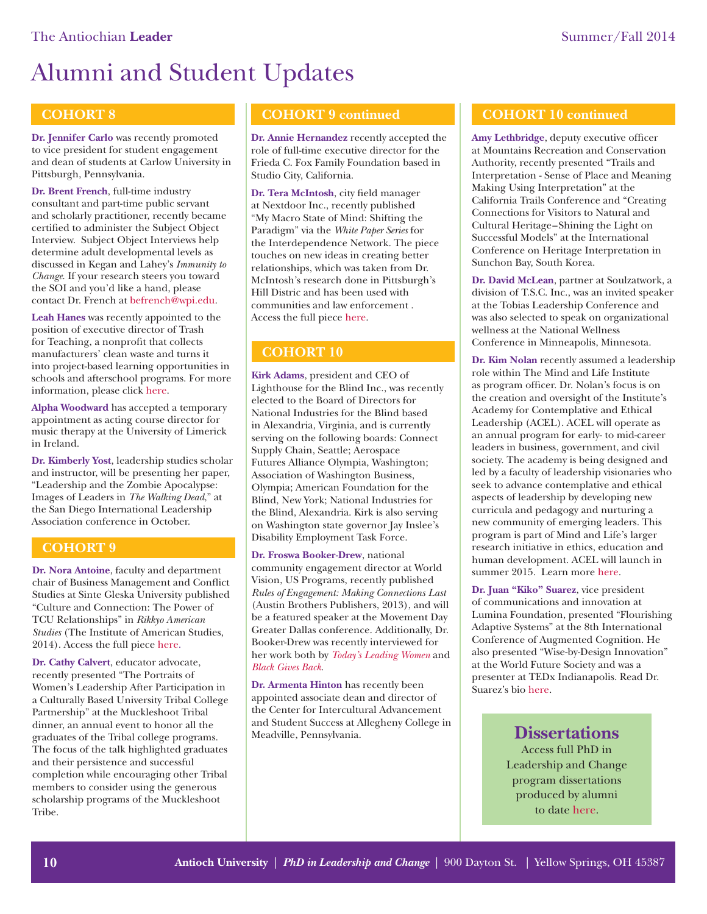# **COHORT 8**

**Dr. Jennifer Carlo** was recently promoted to vice president for student engagement and dean of students at Carlow University in Pittsburgh, Pennsylvania.

**Dr. Brent French**, full-time industry consultant and part-time public servant and scholarly practitioner, recently became certified to administer the Subject Object Interview. Subject Object Interviews help determine adult developmental levels as discussed in Kegan and Lahey's *Immunity to Change*. If your research steers you toward the SOI and you'd like a hand, please contact Dr. French at befrench@wpi.edu.

**Leah Hanes** was recently appointed to the position of executive director of Trash for Teaching, a nonprofit that collects manufacturers' clean waste and turns it into project-based learning opportunities in schools and afterschool programs. For more information, please clic[k here.](www.trashforteaching.org)

**Alpha Woodward** has accepted a temporary appointment as acting course director for music therapy at the University of Limerick in Ireland.

**Dr. Kimberly Yost**, leadership studies scholar and instructor, will be presenting her paper, "Leadership and the Zombie Apocalypse: Images of Leaders in *The Walking Dead*," at the San Diego International Leadership Association conference in October.

## **COHORT 9**

**Dr. Nora Antoine**, faculty and department chair of Business Management and Conflict Studies at Sinte Gleska University published "Culture and Connection: The Power of TCU Relationships" in *Rikkyo American Studies* (The Institute of American Studies, 2014). Access the full piec[e here.](http://www.rikkyo.ac.jp/research/laboratory/IAS/ras/36/antoine.pdf)

**Dr. Cathy Calvert**, educator advocate, recently presented "The Portraits of Women's Leadership After Participation in a Culturally Based University Tribal College Partnership" at the Muckleshoot Tribal dinner, an annual event to honor all the graduates of the Tribal college programs. The focus of the talk highlighted graduates and their persistence and successful completion while encouraging other Tribal members to consider using the generous scholarship programs of the Muckleshoot Tribe.

## **COHORT 9 continued**

**Dr. Annie Hernandez** recently accepted the role of full-time executive director for the Frieda C. Fox Family Foundation based in Studio City, California.

**Dr. Tera McIntosh**, city field manager at Nextdoor Inc., recently published "My Macro State of Mind: Shifting the Paradigm" via the *White Paper Series* for the Interdependence Network. The piece touches on new ideas in creating better relationships, which was taken from Dr. McIntosh's research done in Pittsburgh's Hill Distric and has been used with communities and law enforcement . Access the full piec[e here.](http://static.squarespace.com/static/517af755e4b051915139adf6/t/53bb2227e4b068577d5f3d9b/1404772903211/Macro%20State%20of%20Mind-%20Shifting%20the%20Paradigm.pdf) 

# **COHORT 10**

**Kirk Adams**, president and CEO of Lighthouse for the Blind Inc., was recently elected to the Board of Directors for National Industries for the Blind based in Alexandria, Virginia, and is currently serving on the following boards: Connect Supply Chain, Seattle; Aerospace Futures Alliance Olympia, Washington; Association of Washington Business, Olympia; American Foundation for the Blind, New York; National Industries for the Blind, Alexandria. Kirk is also serving on Washington state governor Jay Inslee's Disability Employment Task Force.

**Dr. Froswa Booker-Drew**, national community engagement director at World Vision, US Programs, recently published *Rules of Engagement: Making Connections Last* (Austin Brothers Publishers, 2013), and will be a featured speaker at the Movement Day Greater Dallas conference. Additionally, Dr. Booker-Drew was recently interviewed for her work both by *[Today's Leading Women](http://todaysleadingwomen.com/froswa-booker-drew/)* and *[Black Gives Back](http://www.blackgivesback.com/2014/07/rules-of-engagement-new-workbook-for.html?utm_source=feedburner&utm_medium=email&utm_campaign=Feed:+Blackgivesback+(blackgivesback)&m=1#.VE-WgIvF-yQ)*.

**Dr. Armenta Hinton** has recently been appointed associate dean and director of the Center for Intercultural Advancement and Student Success at Allegheny College in Meadville, Pennsylvania.

### **COHORT 10 continued**

Amy Lethbridge, deputy executive officer at Mountains Recreation and Conservation Authority, recently presented "Trails and Interpretation - Sense of Place and Meaning Making Using Interpretation" at the California Trails Conference and "Creating Connections for Visitors to Natural and Cultural Heritage–Shining the Light on Successful Models" at the International Conference on Heritage Interpretation in Sunchon Bay, South Korea.

**Dr. David McLean**, partner at Soulzatwork, a division of T.S.C. Inc., was an invited speaker at the Tobias Leadership Conference and was also selected to speak on organizational wellness at the National Wellness Conference in Minneapolis, Minnesota.

**Dr. Kim Nolan** recently assumed a leadership role within The Mind and Life Institute as program officer. Dr. Nolan's focus is on the creation and oversight of the Institute's Academy for Contemplative and Ethical Leadership (ACEL). ACEL will operate as an annual program for early- to mid-career leaders in business, government, and civil society. The academy is being designed and led by a faculty of leadership visionaries who seek to advance contemplative and ethical aspects of leadership by developing new curricula and pedagogy and nurturing a new community of emerging leaders. This program is part of Mind and Life's larger research initiative in ethics, education and human development. ACEL will launch in summer 2015. Learn mor[e here.](http://www.mindandlife.org/research-initiatives/)

**Dr. Juan "Kiko" Suarez**, vice president of communications and innovation at Lumina Foundation, presented "Flourishing Adaptive Systems" at the 8th International Conference of Augmented Cognition. He also presented "Wise-by-Design Innovation" at the World Future Society and was a presenter at TEDx Indianapolis. Read Dr. Suarez's bi[o here.](http://www.tedxindianapolis.com/speakers/kiko-suarez/)

# **Dissertations**

Access full PhD in Leadership and Change program dissertations produced by alumni to dat[e here.](https://etd.ohiolink.edu/ap/6?0::NO:6:P6_INSTID,P6_ETD_INST_DEPTID:2,1137)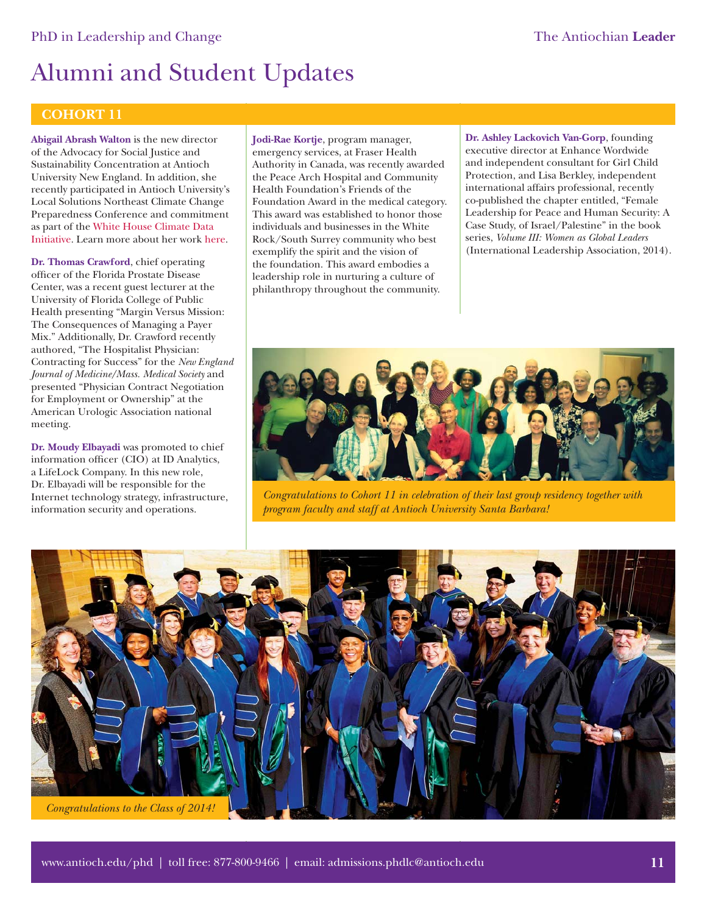## **COHORT 11**

**Abigail Abrash Walton** is the new director of the Advocacy for Social Justice and Sustainability Concentration at Antioch University New England. In addition, she recently participated in Antioch University's Local Solutions Northeast Climate Change Preparedness Conference and commitment as part of [the White House Climate Data](http://www.antiochne.edu/aunenews/new-aune-center-support-new-white-house-climate-data-initiative/)  Initiative. Learn more about her wor[k here.](http://www.antiochne.edu/employeedirectory/abigail-abrash/) 

**Dr. Thomas Crawford**, chief operating officer of the Florida Prostate Disease Center, was a recent guest lecturer at the University of Florida College of Public Health presenting "Margin Versus Mission: The Consequences of Managing a Payer Mix." Additionally, Dr. Crawford recently authored, "The Hospitalist Physician: Contracting for Success" for the *New England Journal of Medicine/Mass. Medical Society* and presented "Physician Contract Negotiation for Employment or Ownership" at the American Urologic Association national meeting.

**Dr. Moudy Elbayadi** was promoted to chief information officer (CIO) at ID Analytics, a LifeLock Company. In this new role, Dr. Elbayadi will be responsible for the Internet technology strategy, infrastructure, information security and operations.

**Jodi-Rae Kortje**, program manager, emergency services, at Fraser Health Authority in Canada, was recently awarded the Peace Arch Hospital and Community Health Foundation's Friends of the Foundation Award in the medical category. This award was established to honor those individuals and businesses in the White Rock/South Surrey community who best exemplify the spirit and the vision of the foundation. This award embodies a leadership role in nurturing a culture of philanthropy throughout the community.

**Dr. Ashley Lackovich Van-Gorp**, founding executive director at Enhance Wordwide and independent consultant for Girl Child Protection, and Lisa Berkley, independent international affairs professional, recently co-published the chapter entitled, "Female Leadership for Peace and Human Security: A Case Study, of Israel/Palestine" in the book series, *Volume III: Women as Global Leaders* (International Leadership Association, 2014).



*Congratulations to Cohort 11 in celebration of their last group residency together with program faculty and staff at Antioch University Santa Barbara!*